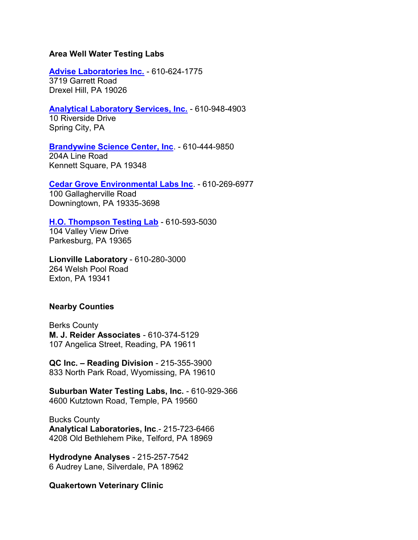# **Area Well Water Testing Labs**

## **[Advise Laboratories Inc.](http://www.adviselabs.com/)** - 610-624-1775

3719 Garrett Road Drexel Hill, PA 19026

# **[Analytical Laboratory Services, Inc.](http://www.analyticallab.com/)** - 610-948-4903

10 Riverside Drive Spring City, PA

#### **[Brandywine Science Center, Inc](http://www.bsclab.com/)**. - 610-444-9850

204A Line Road Kennett Square, PA 19348

#### **[Cedar Grove Environmental Labs Inc](http://www.cgelab.com/)**. - 610-269-6977

100 Gallagherville Road Downingtown, PA 19335-3698

## **[H.O. Thompson Testing Lab](http://www.hothompsonlab.com/)** - 610-593-5030

104 Valley View Drive Parkesburg, PA 19365

**Lionville Laboratory** - 610-280-3000 264 Welsh Pool Road Exton, PA 19341

# **Nearby Counties**

Berks County **M. J. Reider Associates** - 610-374-5129 107 Angelica Street, Reading, PA 19611

**QC Inc. – Reading Division** - 215-355-3900 833 North Park Road, Wyomissing, PA 19610

**Suburban Water Testing Labs, Inc.** - 610-929-366 4600 Kutztown Road, Temple, PA 19560

Bucks County **Analytical Laboratories, Inc**.- 215-723-6466 4208 Old Bethlehem Pike, Telford, PA 18969

**Hydrodyne Analyses** - 215-257-7542 6 Audrey Lane, Silverdale, PA 18962

## **Quakertown Veterinary Clinic**